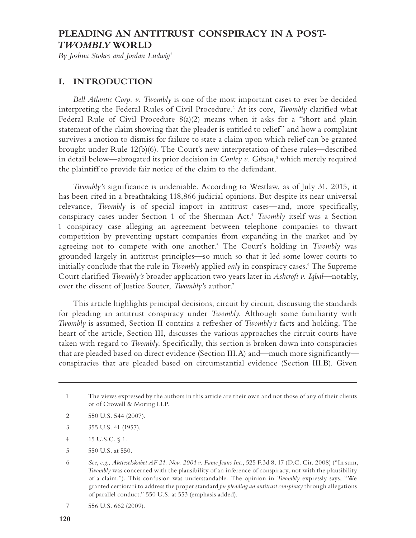# **PLEADING AN ANTITRUST CONSPIRACY IN A POST-***TWOMBLY* **WORLD**

*By Joshua Stokes and Jordan Ludwig1*

### **I. INTRODUCTION**

*Bell Atlantic Corp. v. Twombly* is one of the most important cases to ever be decided interpreting the Federal Rules of Civil Procedure.2 At its core, *Twombly* clarified what Federal Rule of Civil Procedure 8(a)(2) means when it asks for a "short and plain statement of the claim showing that the pleader is entitled to relief" and how a complaint survives a motion to dismiss for failure to state a claim upon which relief can be granted brought under Rule 12(b)(6). The Court's new interpretation of these rules—described in detail below—abrogated its prior decision in *Conley v. Gibson*, 3 which merely required the plaintiff to provide fair notice of the claim to the defendant.

*Twombly's* significance is undeniable. According to Westlaw, as of July 31, 2015, it has been cited in a breathtaking 118,866 judicial opinions. But despite its near universal relevance, *Twombly* is of special import in antitrust cases—and, more specifically, conspiracy cases under Section 1 of the Sherman Act.4 *Twombly* itself was a Section 1 conspiracy case alleging an agreement between telephone companies to thwart competition by preventing upstart companies from expanding in the market and by agreeing not to compete with one another.<sup>5</sup> The Court's holding in *Twombly* was grounded largely in antitrust principles—so much so that it led some lower courts to initially conclude that the rule in *Twombly* applied *only* in conspiracy cases.6 The Supreme Court clarified *Twombly's* broader application two years later in *Ashcroft v. Iqbal*—notably, over the dissent of Justice Souter, *Twombly's* author.7

This article highlights principal decisions, circuit by circuit, discussing the standards for pleading an antitrust conspiracy under *Twombly*. Although some familiarity with *Twombly* is assumed, Section II contains a refresher of *Twombly's* facts and holding. The heart of the article, Section III, discusses the various approaches the circuit courts have taken with regard to *Twombly*. Specifically, this section is broken down into conspiracies that are pleaded based on direct evidence (Section III.A) and—much more significantly conspiracies that are pleaded based on circumstantial evidence (Section III.B). Given

- 2 550 U.S. 544 (2007).
- 3 355 U.S. 41 (1957).
- 4 15 U.S.C. § 1.
- 5 550 U.S. at 550.

<sup>1</sup> The views expressed by the authors in this article are their own and not those of any of their clients or of Crowell & Moring LLP.

<sup>6</sup> *See, e.g., Aktieselskabet AF 21. Nov. 2001 v. Fame Jeans Inc.*, 525 F.3d 8, 17 (D.C. Cir. 2008) ("In sum, *Twombly* was concerned with the plausibility of an inference of conspiracy, not with the plausibility of a claim."). This confusion was understandable. The opinion in *Twombly* expressly says, "We granted certiorari to address the proper standard *for pleading an antitrust conspiracy* through allegations of parallel conduct." 550 U.S. at 553 (emphasis added).

<sup>7 556</sup> U.S. 662 (2009).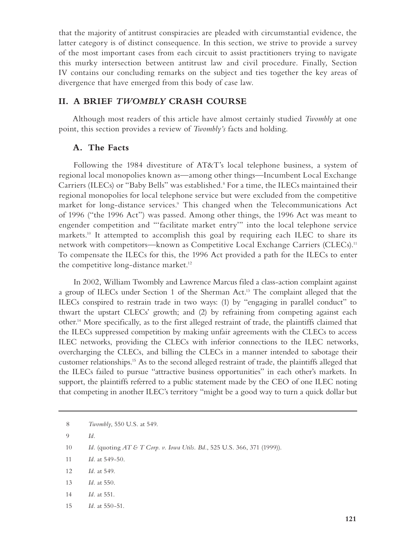that the majority of antitrust conspiracies are pleaded with circumstantial evidence, the latter category is of distinct consequence. In this section, we strive to provide a survey of the most important cases from each circuit to assist practitioners trying to navigate this murky intersection between antitrust law and civil procedure. Finally, Section IV contains our concluding remarks on the subject and ties together the key areas of divergence that have emerged from this body of case law.

### **II. A BRIEF** *TWOMBLY* **CRASH COURSE**

Although most readers of this article have almost certainly studied *Twombly* at one point, this section provides a review of *Twombly's* facts and holding.

### **A. The Facts**

Following the 1984 divestiture of AT&T's local telephone business, a system of regional local monopolies known as—among other things—Incumbent Local Exchange Carriers (ILECs) or "Baby Bells" was established.8 For a time, the ILECs maintained their regional monopolies for local telephone service but were excluded from the competitive market for long-distance services.9 This changed when the Telecommunications Act of 1996 ("the 1996 Act") was passed. Among other things, the 1996 Act was meant to engender competition and "'facilitate market entry'" into the local telephone service markets.<sup>10</sup> It attempted to accomplish this goal by requiring each ILEC to share its network with competitors—known as Competitive Local Exchange Carriers (CLECs).<sup>11</sup> To compensate the ILECs for this, the 1996 Act provided a path for the ILECs to enter the competitive long-distance market.<sup>12</sup>

In 2002, William Twombly and Lawrence Marcus filed a class-action complaint against a group of ILECs under Section 1 of the Sherman Act.13 The complaint alleged that the ILECs conspired to restrain trade in two ways: (1) by "engaging in parallel conduct" to thwart the upstart CLECs' growth; and (2) by refraining from competing against each other.14 More specifically, as to the first alleged restraint of trade, the plaintiffs claimed that the ILECs suppressed competition by making unfair agreements with the CLECs to access ILEC networks, providing the CLECs with inferior connections to the ILEC networks, overcharging the CLECs, and billing the CLECs in a manner intended to sabotage their customer relationships.15 As to the second alleged restraint of trade, the plaintiffs alleged that the ILECs failed to pursue "attractive business opportunities" in each other's markets. In support, the plaintiffs referred to a public statement made by the CEO of one ILEC noting that competing in another ILEC's territory "might be a good way to turn a quick dollar but

- 12 *Id.* at 549.
- 13 *Id.* at 550.
- 14 *Id.* at 551.
- 15 *Id.* at 550-51.

<sup>8</sup> *Twombly*, 550 U.S. at 549.

<sup>9</sup> *Id.*

<sup>10</sup> *Id.* (quoting *AT & T Corp. v. Iowa Utils. Bd.*, 525 U.S. 366, 371 (1999)).

<sup>11</sup> *Id.* at 549-50.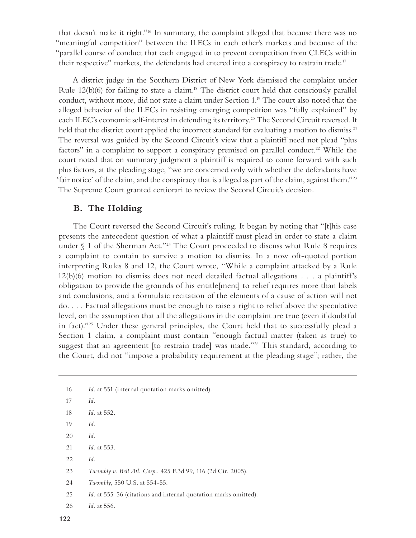that doesn't make it right."16 In summary, the complaint alleged that because there was no "meaningful competition" between the ILECs in each other's markets and because of the "parallel course of conduct that each engaged in to prevent competition from CLECs within their respective" markets, the defendants had entered into a conspiracy to restrain trade.<sup>17</sup>

A district judge in the Southern District of New York dismissed the complaint under Rule 12(b)(6) for failing to state a claim.<sup>18</sup> The district court held that consciously parallel conduct, without more, did not state a claim under Section 1.<sup>19</sup> The court also noted that the alleged behavior of the ILECs in resisting emerging competition was "fully explained" by each ILEC's economic self-interest in defending its territory.<sup>20</sup> The Second Circuit reversed. It held that the district court applied the incorrect standard for evaluating a motion to dismiss.<sup>21</sup> The reversal was guided by the Second Circuit's view that a plaintiff need not plead "plus factors" in a complaint to support a conspiracy premised on parallel conduct.<sup>22</sup> While the court noted that on summary judgment a plaintiff is required to come forward with such plus factors, at the pleading stage, "we are concerned only with whether the defendants have 'fair notice' of the claim, and the conspiracy that is alleged as part of the claim, against them."23 The Supreme Court granted certiorari to review the Second Circuit's decision.

### **B. The Holding**

The Court reversed the Second Circuit's ruling. It began by noting that "[t]his case presents the antecedent question of what a plaintiff must plead in order to state a claim under  $\S$  1 of the Sherman Act."<sup>24</sup> The Court proceeded to discuss what Rule 8 requires a complaint to contain to survive a motion to dismiss. In a now oft-quoted portion interpreting Rules 8 and 12, the Court wrote, "While a complaint attacked by a Rule 12(b)(6) motion to dismiss does not need detailed factual allegations . . . a plaintiff's obligation to provide the grounds of his entitle[ment] to relief requires more than labels and conclusions, and a formulaic recitation of the elements of a cause of action will not do. . . . Factual allegations must be enough to raise a right to relief above the speculative level, on the assumption that all the allegations in the complaint are true (even if doubtful in fact)."25 Under these general principles, the Court held that to successfully plead a Section 1 claim, a complaint must contain "enough factual matter (taken as true) to suggest that an agreement [to restrain trade] was made."<sup>26</sup> This standard, according to the Court, did not "impose a probability requirement at the pleading stage"; rather, the

- 19 *Id.*
- 20 *Id.*
- 21 *Id.* at 553.
- 22 *Id.*
- 23 *Twombly v. Bell Atl. Corp.*, 425 F.3d 99, 116 (2d Cir. 2005).
- 24 *Twombly*, 550 U.S. at 554-55.
- 25 *Id.* at 555-56 (citations and internal quotation marks omitted).
- 26 *Id.* at 556.

<sup>16</sup> *Id.* at 551 (internal quotation marks omitted).

<sup>17</sup> *Id.* 

<sup>18</sup> *Id.* at 552.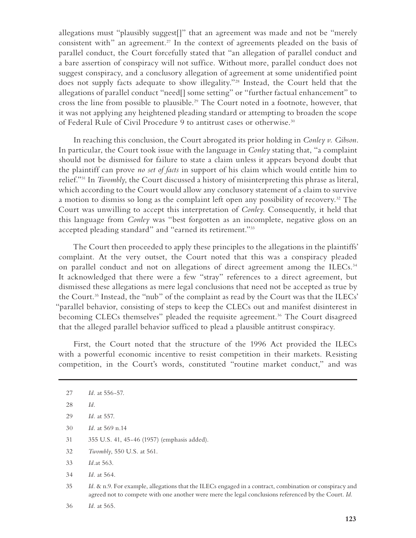allegations must "plausibly suggest[]" that an agreement was made and not be "merely consistent with" an agreement.<sup>27</sup> In the context of agreements pleaded on the basis of parallel conduct, the Court forcefully stated that "an allegation of parallel conduct and a bare assertion of conspiracy will not suffice. Without more, parallel conduct does not suggest conspiracy, and a conclusory allegation of agreement at some unidentified point does not supply facts adequate to show illegality."28 Instead, the Court held that the allegations of parallel conduct "need[] some setting" or "further factual enhancement" to cross the line from possible to plausible.29 The Court noted in a footnote, however, that it was not applying any heightened pleading standard or attempting to broaden the scope of Federal Rule of Civil Procedure 9 to antitrust cases or otherwise.<sup>30</sup>

In reaching this conclusion, the Court abrogated its prior holding in *Conley v. Gibson*. In particular, the Court took issue with the language in *Conley* stating that, "a complaint should not be dismissed for failure to state a claim unless it appears beyond doubt that the plaintiff can prove *no set of facts* in support of his claim which would entitle him to relief."31 In *Twombly*, the Court discussed a history of misinterpreting this phrase as literal, which according to the Court would allow any conclusory statement of a claim to survive a motion to dismiss so long as the complaint left open any possibility of recovery.32 The Court was unwilling to accept this interpretation of *Conley*. Consequently, it held that this language from *Conley* was "best forgotten as an incomplete, negative gloss on an accepted pleading standard" and "earned its retirement."33

The Court then proceeded to apply these principles to the allegations in the plaintiffs' complaint. At the very outset, the Court noted that this was a conspiracy pleaded on parallel conduct and not on allegations of direct agreement among the ILECs.<sup>34</sup> It acknowledged that there were a few "stray" references to a direct agreement, but dismissed these allegations as mere legal conclusions that need not be accepted as true by the Court.35 Instead, the "nub" of the complaint as read by the Court was that the ILECs' "parallel behavior, consisting of steps to keep the CLECs out and manifest disinterest in becoming CLECs themselves" pleaded the requisite agreement.<sup>36</sup> The Court disagreed that the alleged parallel behavior sufficed to plead a plausible antitrust conspiracy.

First, the Court noted that the structure of the 1996 Act provided the ILECs with a powerful economic incentive to resist competition in their markets. Resisting competition, in the Court's words, constituted "routine market conduct," and was

- 30 *Id.* at 569 n.14
- 31 355 U.S. 41, 45-46 (1957) (emphasis added).
- 32 *Twombly*, 550 U.S. at 561.
- 33 *Id.*at 563.
- 34 *Id.* at 564.
- 35 *Id.* & n.9. For example, allegations that the ILECs engaged in a contract, combination or conspiracy and agreed not to compete with one another were mere the legal conclusions referenced by the Court. *Id.*
- 36 *Id.* at 565.

<sup>27</sup> *Id.* at 556-57.

<sup>28</sup> *Id.*

<sup>29</sup> *Id.* at 557.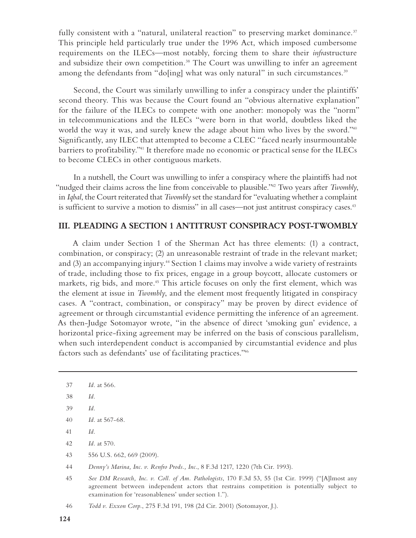fully consistent with a "natural, unilateral reaction" to preserving market dominance.<sup>37</sup> This principle held particularly true under the 1996 Act, which imposed cumbersome requirements on the ILECs—most notably, forcing them to share their *infra*structure and subsidize their own competition.<sup>38</sup> The Court was unwilling to infer an agreement among the defendants from "do[ing] what was only natural" in such circumstances.<sup>39</sup>

Second, the Court was similarly unwilling to infer a conspiracy under the plaintiffs' second theory. This was because the Court found an "obvious alternative explanation" for the failure of the ILECs to compete with one another: monopoly was the "norm" in telecommunications and the ILECs "were born in that world, doubtless liked the world the way it was, and surely knew the adage about him who lives by the sword."<sup>40</sup> Significantly, any ILEC that attempted to become a CLEC "faced nearly insurmountable barriers to profitability."41 It therefore made no economic or practical sense for the ILECs to become CLECs in other contiguous markets.

In a nutshell, the Court was unwilling to infer a conspiracy where the plaintiffs had not "nudged their claims across the line from conceivable to plausible."42 Two years after *Twombly*, in *Iqbal*, the Court reiterated that *Twombly* set the standard for "evaluating whether a complaint is sufficient to survive a motion to dismiss" in all cases—not just antitrust conspiracy cases.<sup>43</sup>

#### **III. PLEADING A SECTION 1 ANTITRUST CONSPIRACY POST-TWOMBLY**

A claim under Section 1 of the Sherman Act has three elements: (1) a contract, combination, or conspiracy; (2) an unreasonable restraint of trade in the relevant market; and (3) an accompanying injury.<sup>44</sup> Section 1 claims may involve a wide variety of restraints of trade, including those to fix prices, engage in a group boycott, allocate customers or markets, rig bids, and more.<sup>45</sup> This article focuses on only the first element, which was the element at issue in *Twombly*, and the element most frequently litigated in conspiracy cases. A "contract, combination, or conspiracy" may be proven by direct evidence of agreement or through circumstantial evidence permitting the inference of an agreement. As then-Judge Sotomayor wrote, "in the absence of direct 'smoking gun' evidence, a horizontal price-fixing agreement may be inferred on the basis of conscious parallelism, when such interdependent conduct is accompanied by circumstantial evidence and plus factors such as defendants' use of facilitating practices."46

<sup>37</sup> *Id.* at 566.

<sup>38</sup> *Id.*

<sup>39</sup> *Id.*

<sup>40</sup> *Id.* at 567-68.

<sup>41</sup> *Id.* 

<sup>42</sup> *Id.* at 570.

<sup>43 556</sup> U.S. 662, 669 (2009).

<sup>44</sup> *Denny's Marina, Inc. v. Renfro Prods., Inc.*, 8 F.3d 1217, 1220 (7th Cir. 1993).

<sup>45</sup> *See DM Research, Inc. v. Coll. of Am. Pathologists*, 170 F.3d 53, 55 (1st Cir. 1999) ("[A]lmost any agreement between independent actors that restrains competition is potentially subject to examination for 'reasonableness' under section 1.").

<sup>46</sup> *Todd v. Exxon Corp.*, 275 F.3d 191, 198 (2d Cir. 2001) (Sotomayor, J.).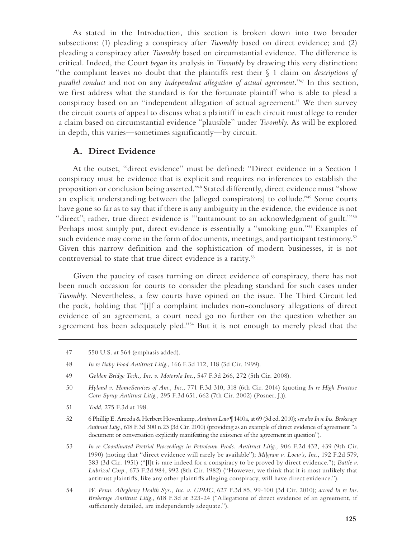As stated in the Introduction, this section is broken down into two broader subsections: (1) pleading a conspiracy after *Twombly* based on direct evidence; and (2) pleading a conspiracy after *Twombly* based on circumstantial evidence. The difference is critical. Indeed, the Court *began* its analysis in *Twombly* by drawing this very distinction: "the complaint leaves no doubt that the plaintiffs rest their § 1 claim on *descriptions of parallel conduct* and not on any *independent allegation of actual agreement.*"47 In this section, we first address what the standard is for the fortunate plaintiff who is able to plead a conspiracy based on an "independent allegation of actual agreement." We then survey the circuit courts of appeal to discuss what a plaintiff in each circuit must allege to render a claim based on circumstantial evidence "plausible" under *Twombly*. As will be explored in depth, this varies—sometimes significantly—by circuit.

#### **A. Direct Evidence**

At the outset, "direct evidence" must be defined: "Direct evidence in a Section 1 conspiracy must be evidence that is explicit and requires no inferences to establish the proposition or conclusion being asserted."48 Stated differently, direct evidence must "show an explicit understanding between the [alleged conspirators] to collude."49 Some courts have gone so far as to say that if there is any ambiguity in the evidence, the evidence is not "direct"; rather, true direct evidence is "'tantamount to an acknowledgment of guilt."<sup>50</sup> Perhaps most simply put, direct evidence is essentially a "smoking gun."<sup>51</sup> Examples of such evidence may come in the form of documents, meetings, and participant testimony.<sup>52</sup> Given this narrow definition and the sophistication of modern businesses, it is not controversial to state that true direct evidence is a rarity.53

Given the paucity of cases turning on direct evidence of conspiracy, there has not been much occasion for courts to consider the pleading standard for such cases under *Twombly*. Nevertheless, a few courts have opined on the issue. The Third Circuit led the pack, holding that "[i]f a complaint includes non-conclusory allegations of direct evidence of an agreement, a court need go no further on the question whether an agreement has been adequately pled."54 But it is not enough to merely plead that the

51 *Todd*, 275 F.3d at 198.

53 *In re Coordinated Pretrial Proceedings in Petroleum Prods. Antitrust Litig.,* 906 F.2d 432, 439 (9th Cir. 1990) (noting that "direct evidence will rarely be available"); *Milgram v. Loew's, Inc.*, 192 F.2d 579, 583 (3d Cir. 1951) ("[I]t is rare indeed for a conspiracy to be proved by direct evidence."); *Battle v. Lubrizol Corp.*, 673 F.2d 984, 992 (8th Cir. 1982) ("However, we think that it is most unlikely that antitrust plaintiffs, like any other plaintiffs alleging conspiracy, will have direct evidence.").

<sup>47 550</sup> U.S. at 564 (emphasis added).

<sup>48</sup> *In re Baby Food Antitrust Litig.*, 166 F.3d 112, 118 (3d Cir. 1999).

<sup>49</sup> *Golden Bridge Tech., Inc. v. Motorola Inc.*, 547 F.3d 266, 272 (5th Cir. 2008).

<sup>50</sup> *Hyland v. HomeServices of Am., Inc.*, 771 F.3d 310, 318 (6th Cir. 2014) (quoting *In re High Fructose Corn Syrup Antitrust Litig.*, 295 F.3d 651, 662 (7th Cir. 2002) (Posner, J.)).

<sup>52 6</sup> Phillip E. Areeda & Herbert Hovenkamp, *Antitrust Law* ¶ 1410a, at 69 (3d ed. 2010); s*ee also In re Ins. Brokerage Antitrust Litig.*, 618 F.3d 300 n.23 (3d Cir. 2010) (providing as an example of direct evidence of agreement "a document or conversation explicitly manifesting the existence of the agreement in question").

<sup>54</sup> *W. Penn. Allegheny Health Sys., Inc. v. UPMC*, 627 F.3d 85, 99-100 (3d Cir. 2010); *accord In re Ins. Brokerage Antitrust Litig.*, 618 F.3d at 323-24 ("Allegations of direct evidence of an agreement, if sufficiently detailed, are independently adequate.").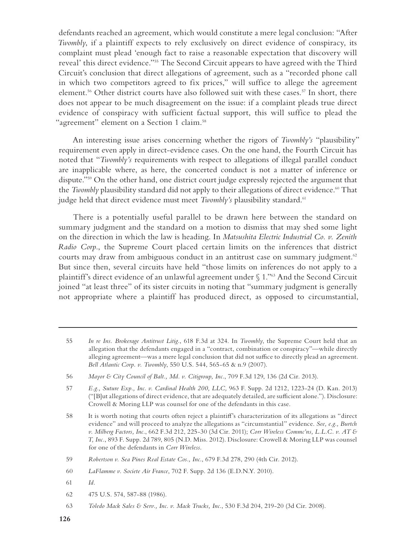defendants reached an agreement, which would constitute a mere legal conclusion: "After *Twombly*, if a plaintiff expects to rely exclusively on direct evidence of conspiracy, its complaint must plead 'enough fact to raise a reasonable expectation that discovery will reveal' this direct evidence."55 The Second Circuit appears to have agreed with the Third Circuit's conclusion that direct allegations of agreement, such as a "recorded phone call in which two competitors agreed to fix prices," will suffice to allege the agreement element.<sup>56</sup> Other district courts have also followed suit with these cases.<sup>57</sup> In short, there does not appear to be much disagreement on the issue: if a complaint pleads true direct evidence of conspiracy with sufficient factual support, this will suffice to plead the "agreement" element on a Section 1 claim.<sup>58</sup>

An interesting issue arises concerning whether the rigors of *Twombly's* "plausibility" requirement even apply in direct-evidence cases. On the one hand, the Fourth Circuit has noted that "*Twombly's* requirements with respect to allegations of illegal parallel conduct are inapplicable where, as here, the concerted conduct is not a matter of inference or dispute."59 On the other hand, one district court judge expressly rejected the argument that the *Twombly* plausibility standard did not apply to their allegations of direct evidence.<sup>60</sup> That judge held that direct evidence must meet *Twombly's* plausibility standard.<sup>61</sup>

There is a potentially useful parallel to be drawn here between the standard on summary judgment and the standard on a motion to dismiss that may shed some light on the direction in which the law is heading. In *Matsushita Electric Industrial Co. v. Zenith Radio Corp.*, the Supreme Court placed certain limits on the inferences that district courts may draw from ambiguous conduct in an antitrust case on summary judgment.<sup>62</sup> But since then, several circuits have held "those limits on inferences do not apply to a plaintiff's direct evidence of an unlawful agreement under § 1."63 And the Second Circuit joined "at least three" of its sister circuits in noting that "summary judgment is generally not appropriate where a plaintiff has produced direct, as opposed to circumstantial,

58 It is worth noting that courts often reject a plaintiff's characterization of its allegations as "direct evidence" and will proceed to analyze the allegations as "circumstantial" evidence. *See, e.g., Burtch v. Milberg Factors, Inc.*, 662 F.3d 212, 225-30 (3d Cir. 2011); *Corr Wireless Commc'ns, L.L.C. v. AT & T, Inc.*, 893 F. Supp. 2d 789, 805 (N.D. Miss. 2012). Disclosure: Crowell & Moring LLP was counsel for one of the defendants in *Corr Wireless*.

- 61 *Id.*
- 62 475 U.S. 574, 587-88 (1986).

<sup>55</sup> *In re Ins. Brokerage Antitrust Litig.*, 618 F.3d at 324. In *Twombly*, the Supreme Court held that an allegation that the defendants engaged in a "contract, combination or conspiracy"—while directly alleging agreement—was a mere legal conclusion that did not suffice to directly plead an agreement. *Bell Atlantic Corp. v. Twombly*, 550 U.S. 544, 565-65 & n.9 (2007).

<sup>56</sup> *Mayor & City Council of Balt., Md. v. Citigroup, Inc.*, 709 F.3d 129, 136 (2d Cir. 2013).

<sup>57</sup> *E.g., Suture Exp., Inc. v. Cardinal Health 200, LLC,* 963 F. Supp. 2d 1212, 1223-24 (D. Kan. 2013) ("[B]ut allegations of direct evidence, that are adequately detailed, are sufficient alone."). Disclosure: Crowell & Moring LLP was counsel for one of the defendants in this case.

<sup>59</sup> *Robertson v. Sea Pines Real Estate Cos., Inc.*, 679 F.3d 278, 290 (4th Cir. 2012).

<sup>60</sup> *LaFlamme v. Societe Air France*, 702 F. Supp. 2d 136 (E.D.N.Y. 2010).

<sup>63</sup> *Toledo Mack Sales & Serv., Inc. v. Mack Trucks, Inc.*, 530 F.3d 204, 219-20 (3d Cir. 2008).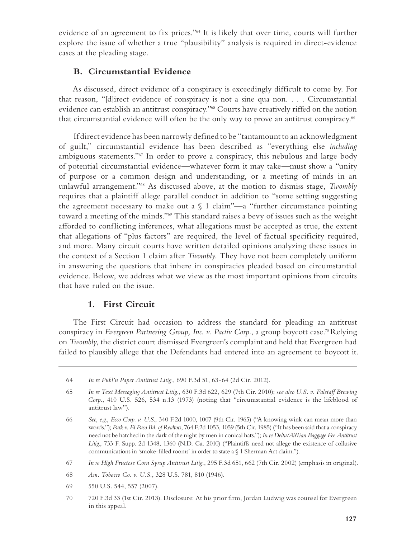evidence of an agreement to fix prices."64 It is likely that over time, courts will further explore the issue of whether a true "plausibility" analysis is required in direct-evidence cases at the pleading stage.

# **B. Circumstantial Evidence**

As discussed, direct evidence of a conspiracy is exceedingly difficult to come by. For that reason, "[d]irect evidence of conspiracy is not a sine qua non. . . . Circumstantial evidence can establish an antitrust conspiracy."65 Courts have creatively riffed on the notion that circumstantial evidence will often be the only way to prove an antitrust conspiracy.<sup>66</sup>

If direct evidence has been narrowly defined to be "tantamount to an acknowledgment of guilt," circumstantial evidence has been described as "everything else *including* ambiguous statements."67 In order to prove a conspiracy, this nebulous and large body of potential circumstantial evidence—whatever form it may take—must show a "unity of purpose or a common design and understanding, or a meeting of minds in an unlawful arrangement."68 As discussed above, at the motion to dismiss stage, *Twombly* requires that a plaintiff allege parallel conduct in addition to "some setting suggesting the agreement necessary to make out a  $\S$  1 claim"—a "further circumstance pointing toward a meeting of the minds."69 This standard raises a bevy of issues such as the weight afforded to conflicting inferences, what allegations must be accepted as true, the extent that allegations of "plus factors" are required, the level of factual specificity required, and more. Many circuit courts have written detailed opinions analyzing these issues in the context of a Section 1 claim after *Twombly*. They have not been completely uniform in answering the questions that inhere in conspiracies pleaded based on circumstantial evidence. Below, we address what we view as the most important opinions from circuits that have ruled on the issue.

# **1. First Circuit**

The First Circuit had occasion to address the standard for pleading an antitrust conspiracy in *Evergreen Partnering Group, Inc. v. Pactiv Corp.*, a group boycott case.<sup>70</sup> Relying on *Twombly*, the district court dismissed Evergreen's complaint and held that Evergreen had failed to plausibly allege that the Defendants had entered into an agreement to boycott it.

70 720 F.3d 33 (1st Cir. 2013). Disclosure: At his prior firm, Jordan Ludwig was counsel for Evergreen in this appeal.

<sup>64</sup> *In re Publ'n Paper Antitrust Litig.*, 690 F.3d 51, 63-64 (2d Cir. 2012).

<sup>65</sup> *In re Text Messaging Antitrust Litig.*, 630 F.3d 622, 629 (7th Cir. 2010); s*ee also U.S. v. Falstaff Brewing Corp.*, 410 U.S. 526, 534 n.13 (1973) (noting that "circumstantial evidence is the lifeblood of antitrust law").

<sup>66</sup> *See, e.g., Esco Corp. v. U.S.*, 340 F.2d 1000, 1007 (9th Cir. 1965) ("A knowing wink can mean more than words."); *Park v. El Paso Bd. of Realtors*, 764 F.2d 1053, 1059 (5th Cir. 1985) ("It has been said that a conspiracy need not be hatched in the dark of the night by men in conical hats."); *In re Delta/AirTran Baggage Fee Antitrust Litig.*, 733 F. Supp. 2d 1348, 1360 (N.D. Ga. 2010) ("Plaintiffs need not allege the existence of collusive communications in 'smoke-filled rooms' in order to state a § 1 Sherman Act claim.").

<sup>67</sup> *In re High Fructose Corn Syrup Antitrust Litig.*, 295 F.3d 651, 662 (7th Cir. 2002) (emphasis in original).

<sup>68</sup> *Am. Tobacco Co. v. U.S.*, 328 U.S. 781, 810 (1946).

<sup>69 550</sup> U.S. 544, 557 (2007).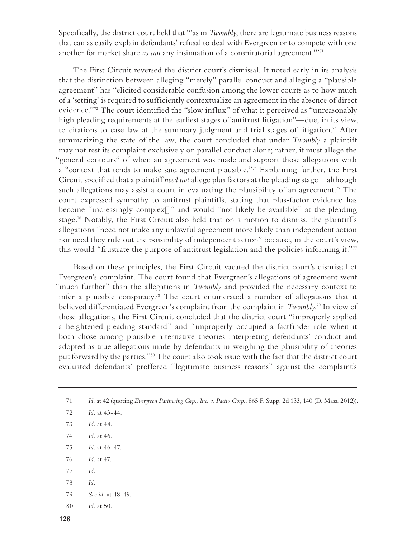Specifically, the district court held that "'as in *Twombly*, there are legitimate business reasons that can as easily explain defendants' refusal to deal with Evergreen or to compete with one another for market share *as can* any insinuation of a conspiratorial agreement.'"71

The First Circuit reversed the district court's dismissal. It noted early in its analysis that the distinction between alleging "merely" parallel conduct and alleging a "plausible agreement" has "elicited considerable confusion among the lower courts as to how much of a 'setting' is required to sufficiently contextualize an agreement in the absence of direct evidence."72 The court identified the "slow influx" of what it perceived as "unreasonably high pleading requirements at the earliest stages of antitrust litigation"—due, in its view, to citations to case law at the summary judgment and trial stages of litigation.73 After summarizing the state of the law, the court concluded that under *Twombly* a plaintiff may not rest its complaint exclusively on parallel conduct alone; rather, it must allege the "general contours" of when an agreement was made and support those allegations with a "context that tends to make said agreement plausible."74 Explaining further, the First Circuit specified that a plaintiff *need not* allege plus factors at the pleading stage—although such allegations may assist a court in evaluating the plausibility of an agreement.<sup>75</sup> The court expressed sympathy to antitrust plaintiffs, stating that plus-factor evidence has become "increasingly complex[]" and would "not likely be available" at the pleading stage.76 Notably, the First Circuit also held that on a motion to dismiss, the plaintiff's allegations "need not make any unlawful agreement more likely than independent action nor need they rule out the possibility of independent action" because, in the court's view, this would "frustrate the purpose of antitrust legislation and the policies informing it."<sup>77</sup>

Based on these principles, the First Circuit vacated the district court's dismissal of Evergreen's complaint. The court found that Evergreen's allegations of agreement went "much further" than the allegations in *Twombly* and provided the necessary context to infer a plausible conspiracy.<sup>78</sup> The court enumerated a number of allegations that it believed differentiated Evergreen's complaint from the complaint in *Twombly*. 79 In view of these allegations, the First Circuit concluded that the district court "improperly applied a heightened pleading standard" and "improperly occupied a factfinder role when it both chose among plausible alternative theories interpreting defendants' conduct and adopted as true allegations made by defendants in weighing the plausibility of theories put forward by the parties."80 The court also took issue with the fact that the district court evaluated defendants' proffered "legitimate business reasons" against the complaint's

- 73 *Id.* at 44.
- 74 *Id.* at 46.
- 75 *Id.* at 46-47.
- 76 *Id.* at 47.
- 77 *Id.*
- 78 *Id.*
- 79 *See id.* at 48-49.
- 80 *Id.* at 50.

<sup>71</sup> *Id.* at 42 (quoting *Evergreen Partnering Grp., Inc. v. Pactiv Corp.*, 865 F. Supp. 2d 133, 140 (D. Mass. 2012)).

<sup>72</sup> *Id.* at 43-44.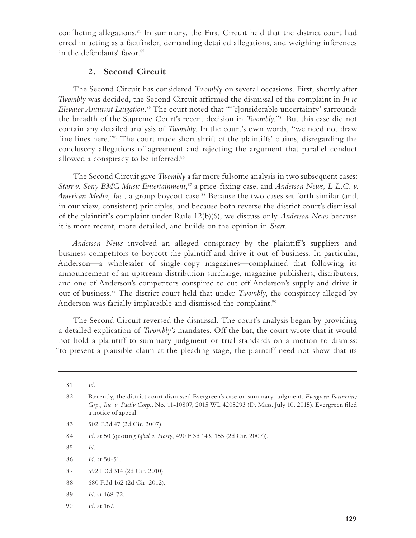conflicting allegations.<sup>81</sup> In summary, the First Circuit held that the district court had erred in acting as a factfinder, demanding detailed allegations, and weighing inferences in the defendants' favor.<sup>82</sup>

# **2. Second Circuit**

The Second Circuit has considered *Twombly* on several occasions. First, shortly after *Twombly* was decided, the Second Circuit affirmed the dismissal of the complaint in *In re Elevator Antitrust Litigation*. 83 The court noted that "'[c]onsiderable uncertainty' surrounds the breadth of the Supreme Court's recent decision in *Twombly*."84 But this case did not contain any detailed analysis of *Twombly*. In the court's own words, "we need not draw fine lines here."85 The court made short shrift of the plaintiffs' claims, disregarding the conclusory allegations of agreement and rejecting the argument that parallel conduct allowed a conspiracy to be inferred.<sup>86</sup>

The Second Circuit gave *Twombly* a far more fulsome analysis in two subsequent cases: Starr v. Sony BMG Music Entertainment,<sup>87</sup> a price-fixing case, and *Anderson News, L.L.C. v. American Media, Inc., a group boycott case.*<sup>88</sup> Because the two cases set forth similar (and, in our view, consistent) principles, and because both reverse the district court's dismissal of the plaintiff's complaint under Rule 12(b)(6), we discuss only *Anderson News* because it is more recent, more detailed, and builds on the opinion in *Starr*.

*Anderson News* involved an alleged conspiracy by the plaintiff's suppliers and business competitors to boycott the plaintiff and drive it out of business. In particular, Anderson—a wholesaler of single-copy magazines—complained that following its announcement of an upstream distribution surcharge, magazine publishers, distributors, and one of Anderson's competitors conspired to cut off Anderson's supply and drive it out of business.89 The district court held that under *Twombly*, the conspiracy alleged by Anderson was facially implausible and dismissed the complaint.<sup>90</sup>

The Second Circuit reversed the dismissal. The court's analysis began by providing a detailed explication of *Twombly's* mandates. Off the bat, the court wrote that it would not hold a plaintiff to summary judgment or trial standards on a motion to dismiss: "to present a plausible claim at the pleading stage, the plaintiff need not show that its

- 88 680 F.3d 162 (2d Cir. 2012).
- 89 *Id.* at 168-72.
- 90 *Id.* at 167.

<sup>81</sup> *Id.*

<sup>82</sup> Recently, the district court dismissed Evergreen's case on summary judgment. *Evergreen Partnering Grp., Inc. v. Pactiv Corp.*, No. 11-10807, 2015 WL 4205293 (D. Mass. July 10, 2015). Evergreen filed a notice of appeal.

<sup>83 502</sup> F.3d 47 (2d Cir. 2007).

<sup>84</sup> *Id.* at 50 (quoting *Iqbal v. Hasty*, 490 F.3d 143, 155 (2d Cir. 2007)).

<sup>85</sup> *Id.*

<sup>86</sup> *Id.* at 50-51.

<sup>87 592</sup> F.3d 314 (2d Cir. 2010).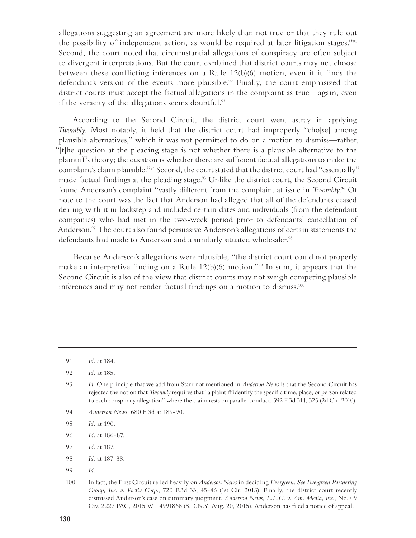allegations suggesting an agreement are more likely than not true or that they rule out the possibility of independent action, as would be required at later litigation stages."91 Second, the court noted that circumstantial allegations of conspiracy are often subject to divergent interpretations. But the court explained that district courts may not choose between these conflicting inferences on a Rule 12(b)(6) motion, even if it finds the defendant's version of the events more plausible.<sup>92</sup> Finally, the court emphasized that district courts must accept the factual allegations in the complaint as true—again, even if the veracity of the allegations seems doubtful.<sup>93</sup>

According to the Second Circuit, the district court went astray in applying *Twombly*. Most notably, it held that the district court had improperly "cho[se] among plausible alternatives," which it was not permitted to do on a motion to dismiss—rather, "[t]he question at the pleading stage is not whether there is a plausible alternative to the plaintiff's theory; the question is whether there are sufficient factual allegations to make the complaint's claim plausible."94 Second, the court stated that the district court had "essentially" made factual findings at the pleading stage.<sup>95</sup> Unlike the district court, the Second Circuit found Anderson's complaint "vastly different from the complaint at issue in *Twombly*. 96 Of note to the court was the fact that Anderson had alleged that all of the defendants ceased dealing with it in lockstep and included certain dates and individuals (from the defendant companies) who had met in the two-week period prior to defendants' cancellation of Anderson.<sup>97</sup> The court also found persuasive Anderson's allegations of certain statements the defendants had made to Anderson and a similarly situated wholesaler.<sup>98</sup>

Because Anderson's allegations were plausible, "the district court could not properly make an interpretive finding on a Rule 12(b)(6) motion."99 In sum, it appears that the Second Circuit is also of the view that district courts may not weigh competing plausible inferences and may not render factual findings on a motion to dismiss.<sup>100</sup>

- 94 *Anderson News*, 680 F.3d at 189-90.
- 95 *Id.* at 190.
- 96 *Id.* at 186-87.
- 97 *Id.* at 187.
- 98 *Id.* at 187-88.
- 99 *Id.*

<sup>91</sup> *Id.* at 184.

<sup>92</sup> *Id.* at 185.

<sup>93</sup> *Id.* One principle that we add from Starr not mentioned in *Anderson News* is that the Second Circuit has rejected the notion that *Twombly* requires that "a plaintiff identify the specific time, place, or person related to each conspiracy allegation" where the claim rests on parallel conduct. 592 F.3d 314, 325 (2d Cir. 2010).

<sup>100</sup> In fact, the First Circuit relied heavily on *Anderson News* in deciding *Evergreen*. *See Evergreen Partnering Group, Inc. v. Pactiv Corp.*, 720 F.3d 33, 45-46 (1st Cir. 2013). Finally, the district court recently dismissed Anderson's case on summary judgment. *Anderson News, L.L.C. v. Am. Media, Inc.*, No. 09 Civ. 2227 PAC, 2015 WL 4991868 (S.D.N.Y. Aug. 20, 2015). Anderson has filed a notice of appeal.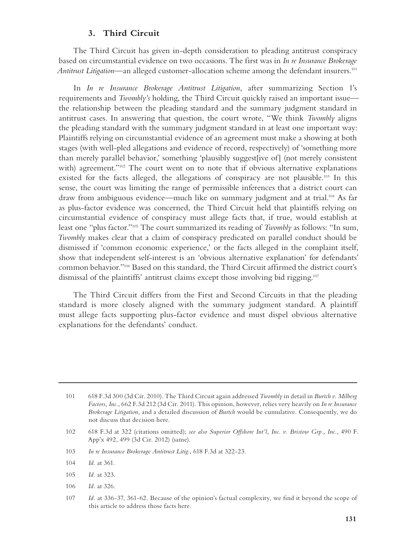### **3. Third Circuit**

The Third Circuit has given in-depth consideration to pleading antitrust conspiracy based on circumstantial evidence on two occasions. The first was in *In re Insurance Brokerage Antitrust Litigation*—an alleged customer-allocation scheme among the defendant insurers.101

In *In re Insurance Brokerage Antitrust Litigation*, after summarizing Section 1's requirements and *Twombly's* holding, the Third Circuit quickly raised an important issue the relationship between the pleading standard and the summary judgment standard in antitrust cases. In answering that question, the court wrote, "We think *Twombly* aligns the pleading standard with the summary judgment standard in at least one important way: Plaintiffs relying on circumstantial evidence of an agreement must make a showing at both stages (with well-pled allegations and evidence of record, respectively) of 'something more than merely parallel behavior,' something 'plausibly suggest[ive of] (not merely consistent with) agreement."<sup>102</sup> The court went on to note that if obvious alternative explanations existed for the facts alleged, the allegations of conspiracy are not plausible.<sup>103</sup> In this sense, the court was limiting the range of permissible inferences that a district court can draw from ambiguous evidence—much like on summary judgment and at trial.104 As far as plus-factor evidence was concerned, the Third Circuit held that plaintiffs relying on circumstantial evidence of conspiracy must allege facts that, if true, would establish at least one "plus factor."105 The court summarized its reading of *Twombly* as follows: "In sum, *Twombly* makes clear that a claim of conspiracy predicated on parallel conduct should be dismissed if 'common economic experience,' or the facts alleged in the complaint itself, show that independent self-interest is an 'obvious alternative explanation' for defendants' common behavior."106 Based on this standard, the Third Circuit affirmed the district court's dismissal of the plaintiffs' antitrust claims except those involving bid rigging.<sup>107</sup>

The Third Circuit differs from the First and Second Circuits in that the pleading standard is more closely aligned with the summary judgment standard. A plaintiff must allege facts supporting plus-factor evidence and must dispel obvious alternative explanations for the defendants' conduct.

- 106 *Id.* at 326.
- 107 *Id.* at 336-37, 361-62. Because of the opinion's factual complexity, we find it beyond the scope of this article to address those facts here.

<sup>101 618</sup> F.3d 300 (3d Cir. 2010). The Third Circuit again addressed *Twombly* in detail in *Burtch v. Milberg Factors, Inc.*, 662 F.3d 212 (3d Cir. 2011). This opinion, however, relies very heavily on *In re Insurance Brokerage Litigation*, and a detailed discussion of *Burtch* would be cumulative. Consequently, we do not discuss that decision here.

<sup>102 618</sup> F.3d at 322 (citations omitted); *see also Superior Offshore Int'l, Inc. v. Bristow Grp., Inc.*, 490 F. App'x 492, 499 (3d Cir. 2012) (same).

<sup>103</sup> *In re Insurance Brokerage Antitrust Litig.*, 618 F.3d at 322-23.

<sup>104</sup> *Id.* at 361.

<sup>105</sup> *Id.* at 323.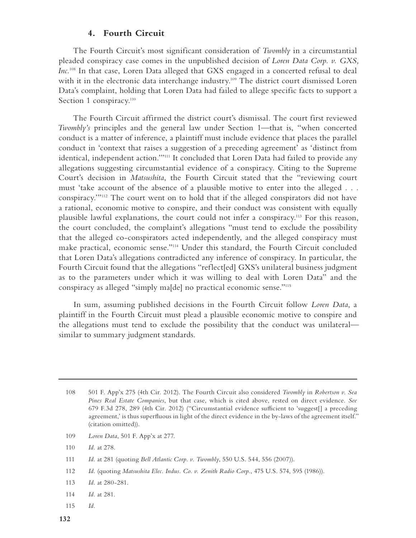### **4. Fourth Circuit**

The Fourth Circuit's most significant consideration of *Twombly* in a circumstantial pleaded conspiracy case comes in the unpublished decision of *Loren Data Corp. v. GXS, Inc.*108 In that case, Loren Data alleged that GXS engaged in a concerted refusal to deal with it in the electronic data interchange industry.<sup>109</sup> The district court dismissed Loren Data's complaint, holding that Loren Data had failed to allege specific facts to support a Section 1 conspiracy.<sup>110</sup>

The Fourth Circuit affirmed the district court's dismissal. The court first reviewed *Twombly's* principles and the general law under Section 1—that is, "when concerted conduct is a matter of inference, a plaintiff must include evidence that places the parallel conduct in 'context that raises a suggestion of a preceding agreement' as 'distinct from identical, independent action.""<sup>111</sup> It concluded that Loren Data had failed to provide any allegations suggesting circumstantial evidence of a conspiracy. Citing to the Supreme Court's decision in *Matsushita*, the Fourth Circuit stated that the "reviewing court must 'take account of the absence of a plausible motive to enter into the alleged . . . conspiracy.'"112 The court went on to hold that if the alleged conspirators did not have a rational, economic motive to conspire, and their conduct was consistent with equally plausible lawful explanations, the court could not infer a conspiracy.113 For this reason, the court concluded, the complaint's allegations "must tend to exclude the possibility that the alleged co-conspirators acted independently, and the alleged conspiracy must make practical, economic sense."114 Under this standard, the Fourth Circuit concluded that Loren Data's allegations contradicted any inference of conspiracy. In particular, the Fourth Circuit found that the allegations "reflect[ed] GXS's unilateral business judgment as to the parameters under which it was willing to deal with Loren Data" and the conspiracy as alleged "simply ma[de] no practical economic sense."115

In sum, assuming published decisions in the Fourth Circuit follow *Loren Data*, a plaintiff in the Fourth Circuit must plead a plausible economic motive to conspire and the allegations must tend to exclude the possibility that the conduct was unilateral similar to summary judgment standards.

- 108 501 F. App'x 275 (4th Cir. 2012). The Fourth Circuit also considered *Twombly* in *Robertson v. Sea Pines Real Estate Companies*, but that case, which is cited above, rested on direct evidence. *See* 679 F.3d 278, 289 (4th Cir. 2012) ("Circumstantial evidence sufficient to 'suggest[] a preceding agreement,' is thus superfluous in light of the direct evidence in the by-laws of the agreement itself." (citation omitted)).
- 109 *Loren Data*, 501 F. App'x at 277.
- 110 *Id.* at 278.
- 111 *Id.* at 281 (quoting *Bell Atlantic Corp. v. Twombly*, 550 U.S. 544, 556 (2007)).
- 112 *Id.* (quoting *Matsushita Elec. Indus. Co. v. Zenith Radio Corp.*, 475 U.S. 574, 595 (1986)).
- 113 *Id.* at 280-281.
- 114 *Id.* at 281.
- 115 *Id.*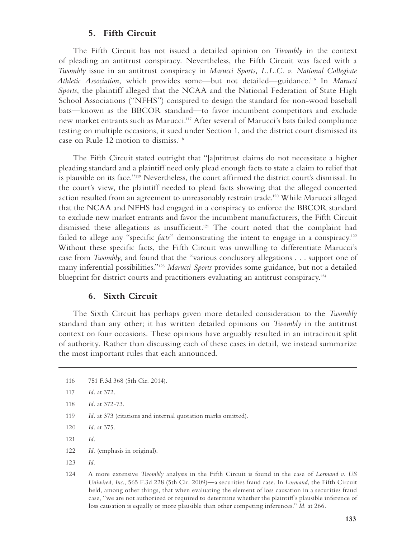### **5. Fifth Circuit**

The Fifth Circuit has not issued a detailed opinion on *Twombly* in the context of pleading an antitrust conspiracy. Nevertheless, the Fifth Circuit was faced with a *Twombly* issue in an antitrust conspiracy in *Marucci Sports, L.L.C. v. National Collegiate Athletic Association*, which provides some—but not detailed—guidance.116 In *Marucci Sports*, the plaintiff alleged that the NCAA and the National Federation of State High School Associations ("NFHS") conspired to design the standard for non-wood baseball bats—known as the BBCOR standard—to favor incumbent competitors and exclude new market entrants such as Marucci.117 After several of Marucci's bats failed compliance testing on multiple occasions, it sued under Section 1, and the district court dismissed its case on Rule 12 motion to dismiss.<sup>118</sup>

The Fifth Circuit stated outright that "[a]ntitrust claims do not necessitate a higher pleading standard and a plaintiff need only plead enough facts to state a claim to relief that is plausible on its face."119 Nevertheless, the court affirmed the district court's dismissal. In the court's view, the plaintiff needed to plead facts showing that the alleged concerted action resulted from an agreement to unreasonably restrain trade.<sup>120</sup> While Marucci alleged that the NCAA and NFHS had engaged in a conspiracy to enforce the BBCOR standard to exclude new market entrants and favor the incumbent manufacturers, the Fifth Circuit dismissed these allegations as insufficient.121 The court noted that the complaint had failed to allege any "specific *facts*" demonstrating the intent to engage in a conspiracy.<sup>122</sup> Without these specific facts, the Fifth Circuit was unwilling to differentiate Marucci's case from *Twombly*, and found that the "various conclusory allegations . . . support one of many inferential possibilities."123 *Marucci Sports* provides some guidance, but not a detailed blueprint for district courts and practitioners evaluating an antitrust conspiracy.<sup>124</sup>

#### **6. Sixth Circuit**

The Sixth Circuit has perhaps given more detailed consideration to the *Twombly* standard than any other; it has written detailed opinions on *Twombly* in the antitrust context on four occasions. These opinions have arguably resulted in an intracircuit split of authority. Rather than discussing each of these cases in detail, we instead summarize the most important rules that each announced.

- 122 *Id.* (emphasis in original).
- 123 *Id.*

<sup>116 751</sup> F.3d 368 (5th Cir. 2014).

<sup>117</sup> *Id.* at 372.

<sup>118</sup> *Id.* at 372-73.

<sup>119</sup> *Id.* at 373 (citations and internal quotation marks omitted).

<sup>120</sup> *Id.* at 375.

<sup>121</sup> *Id.*

<sup>124</sup> A more extensive *Twombly* analysis in the Fifth Circuit is found in the case of *Lormand v. US Uniwired, Inc.*, 565 F.3d 228 (5th Cir. 2009)—a securities fraud case. In *Lormand*, the Fifth Circuit held, among other things, that when evaluating the element of loss causation in a securities fraud case, "we are not authorized or required to determine whether the plaintiff's plausible inference of loss causation is equally or more plausible than other competing inferences." *Id.* at 266.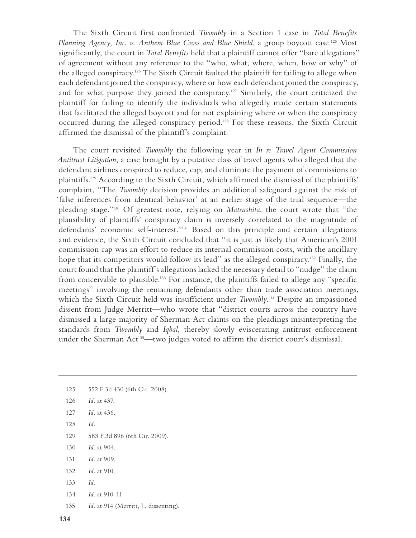The Sixth Circuit first confronted *Twombly* in a Section 1 case in *Total Benefits*  Planning Agency, Inc. v. Anthem Blue Cross and Blue Shield, a group boycott case.<sup>125</sup> Most significantly, the court in *Total Benefits* held that a plaintiff cannot offer "bare allegations" of agreement without any reference to the "who, what, where, when, how or why" of the alleged conspiracy.126 The Sixth Circuit faulted the plaintiff for failing to allege when each defendant joined the conspiracy, where or how each defendant joined the conspiracy, and for what purpose they joined the conspiracy.<sup>127</sup> Similarly, the court criticized the plaintiff for failing to identify the individuals who allegedly made certain statements that facilitated the alleged boycott and for not explaining where or when the conspiracy occurred during the alleged conspiracy period.<sup>128</sup> For these reasons, the Sixth Circuit affirmed the dismissal of the plaintiff's complaint.

The court revisited *Twombly* the following year in *In re Travel Agent Commission Antitrust Litigation*, a case brought by a putative class of travel agents who alleged that the defendant airlines conspired to reduce, cap, and eliminate the payment of commissions to plaintiffs.129 According to the Sixth Circuit, which affirmed the dismissal of the plaintiffs' complaint, "The *Twombly* decision provides an additional safeguard against the risk of 'false inferences from identical behavior' at an earlier stage of the trial sequence—the pleading stage."130 Of greatest note, relying on *Matsushita*, the court wrote that "the plausibility of plaintiffs' conspiracy claim is inversely correlated to the magnitude of defendants' economic self-interest."131 Based on this principle and certain allegations and evidence, the Sixth Circuit concluded that "it is just as likely that American's 2001 commission cap was an effort to reduce its internal commission costs, with the ancillary hope that its competitors would follow its lead" as the alleged conspiracy.<sup>132</sup> Finally, the court found that the plaintiff's allegations lacked the necessary detail to "nudge" the claim from conceivable to plausible.<sup>133</sup> For instance, the plaintiffs failed to allege any "specific meetings" involving the remaining defendants other than trade association meetings, which the Sixth Circuit held was insufficient under *Twombly*. 134 Despite an impassioned dissent from Judge Merritt—who wrote that "district courts across the country have dismissed a large majority of Sherman Act claims on the pleadings misinterpreting the standards from *Twombly* and *Iqbal*, thereby slowly eviscerating antitrust enforcement under the Sherman Act<sup>135</sup>—two judges voted to affirm the district court's dismissal.

- 125 552 F.3d 430 (6th Cir. 2008).
- 126 *Id.* at 437.
- 127 *Id.* at 436.
- 128 *Id.*
- 129 583 F.3d 896 (6th Cir. 2009).
- 130 *Id.* at 904.
- 131 *Id.* at 909.
- 132 *Id.* at 910.
- 133 *Id.*
- 134 *Id.* at 910-11.
- 135 *Id.* at 914 (Merritt, J., dissenting).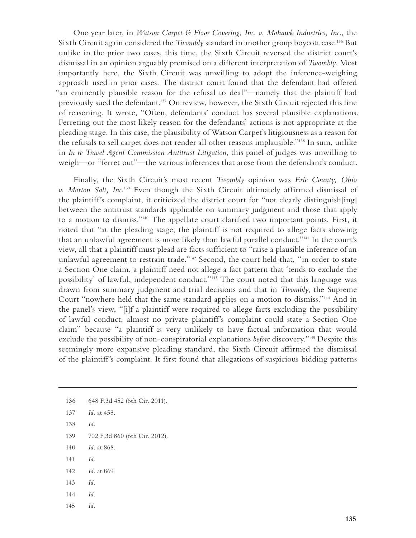One year later, in *Watson Carpet & Floor Covering, Inc. v. Mohawk Industries, Inc.*, the Sixth Circuit again considered the *Twombly* standard in another group boycott case.136 But unlike in the prior two cases, this time, the Sixth Circuit reversed the district court's dismissal in an opinion arguably premised on a different interpretation of *Twombly*. Most importantly here, the Sixth Circuit was unwilling to adopt the inference-weighing approach used in prior cases. The district court found that the defendant had offered "an eminently plausible reason for the refusal to deal"—namely that the plaintiff had previously sued the defendant.<sup>137</sup> On review, however, the Sixth Circuit rejected this line of reasoning. It wrote, "Often, defendants' conduct has several plausible explanations. Ferreting out the most likely reason for the defendants' actions is not appropriate at the pleading stage. In this case, the plausibility of Watson Carpet's litigiousness as a reason for the refusals to sell carpet does not render all other reasons implausible."138 In sum, unlike in *In re Travel Agent Commission Antitrust Litigation*, this panel of judges was unwilling to weigh—or "ferret out"—the various inferences that arose from the defendant's conduct.

Finally, the Sixth Circuit's most recent *Twombly* opinion was *Erie County, Ohio v. Morton Salt, Inc.*139 Even though the Sixth Circuit ultimately affirmed dismissal of the plaintiff's complaint, it criticized the district court for "not clearly distinguish[ing] between the antitrust standards applicable on summary judgment and those that apply to a motion to dismiss."140 The appellate court clarified two important points. First, it noted that "at the pleading stage, the plaintiff is not required to allege facts showing that an unlawful agreement is more likely than lawful parallel conduct."141 In the court's view, all that a plaintiff must plead are facts sufficient to "raise a plausible inference of an unlawful agreement to restrain trade."142 Second, the court held that, "in order to state a Section One claim, a plaintiff need not allege a fact pattern that 'tends to exclude the possibility' of lawful, independent conduct."143 The court noted that this language was drawn from summary judgment and trial decisions and that in *Twombly*, the Supreme Court "nowhere held that the same standard applies on a motion to dismiss."144 And in the panel's view, "[i]f a plaintiff were required to allege facts excluding the possibility of lawful conduct, almost no private plaintiff's complaint could state a Section One claim" because "a plaintiff is very unlikely to have factual information that would exclude the possibility of non-conspiratorial explanations *before* discovery."<sup>145</sup> Despite this seemingly more expansive pleading standard, the Sixth Circuit affirmed the dismissal of the plaintiff's complaint. It first found that allegations of suspicious bidding patterns

- 138 *Id.*
- 139 702 F.3d 860 (6th Cir. 2012).
- 140 *Id.* at 868.
- 141 *Id.*
- 142 *Id.* at 869.
- 143 *Id.*
- 144 *Id.*
- 145 *Id.*

<sup>136 648</sup> F.3d 452 (6th Cir. 2011).

<sup>137</sup> *Id.* at 458.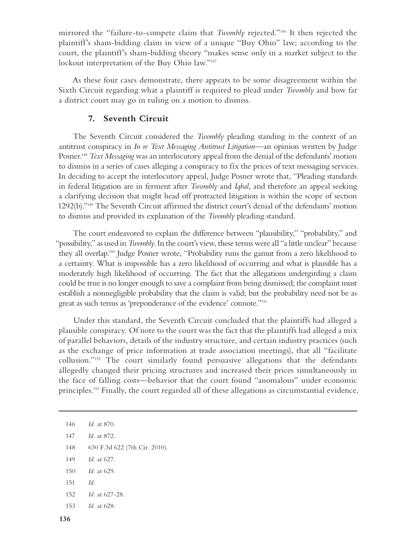mirrored the "failure-to-compete claim that *Twombly* rejected."146 It then rejected the plaintiff's sham-bidding claim in view of a unique "Buy Ohio" law; according to the court, the plaintiff's sham-bidding theory "makes sense only in a market subject to the lockout interpretation of the Buy Ohio law."147

As these four cases demonstrate, there appears to be some disagreement within the Sixth Circuit regarding what a plaintiff is required to plead under *Twombly* and how far a district court may go in ruling on a motion to dismiss.

### **7. Seventh Circuit**

The Seventh Circuit considered the *Twombly* pleading standing in the context of an antitrust conspiracy in *In re Text Messaging Antitrust Litigation*—an opinion written by Judge Posner.148 *Text Messaging* was an interlocutory appeal from the denial of the defendants' motion to dismiss in a series of cases alleging a conspiracy to fix the prices of text messaging services. In deciding to accept the interlocutory appeal, Judge Posner wrote that, "Pleading standards in federal litigation are in ferment after *Twombly* and *Iqbal*, and therefore an appeal seeking a clarifying decision that might head off protracted litigation is within the scope of section 1292(b)."149 The Seventh Circuit affirmed the district court's denial of the defendants' motion to dismiss and provided its explanation of the *Twombly* pleading standard.

The court endeavored to explain the difference between "plausibility," "probability," and "possibility," as used in *Twombly*. In the court's view, these terms were all "a little unclear" because they all overlap.150 Judge Posner wrote, "Probability runs the gamut from a zero likelihood to a certainty. What is impossible has a zero likelihood of occurring and what is plausible has a moderately high likelihood of occurring. The fact that the allegations undergirding a claim could be true is no longer enough to save a complaint from being dismissed; the complaint must establish a nonnegligible probability that the claim is valid; but the probability need not be as great as such terms as 'preponderance of the evidence' connote."151

Under this standard, the Seventh Circuit concluded that the plaintiffs had alleged a plausible conspiracy. Of note to the court was the fact that the plaintiffs had alleged a mix of parallel behaviors, details of the industry structure, and certain industry practices (such as the exchange of price information at trade association meetings), that all "facilitate collusion."152 The court similarly found persuasive allegations that the defendants allegedly changed their pricing structures and increased their prices simultaneously in the face of falling costs—behavior that the court found "anomalous" under economic principles.<sup>153</sup> Finally, the court regarded all of these allegations as circumstantial evidence,

- 148 630 F.3d 622 (7th Cir. 2010).
- 149 *Id.* at 627.
- 150 *Id.* at 629.
- 151 *Id.*
- 152 *Id.* at 627-28.
- 153 *Id.* at 628.

<sup>146</sup> *Id.* at 870.

<sup>147</sup> *Id.* at 872.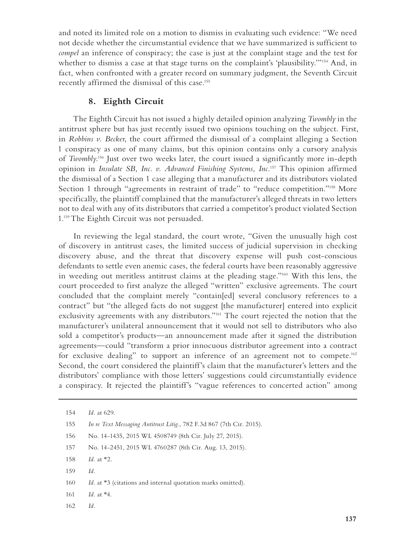and noted its limited role on a motion to dismiss in evaluating such evidence: "We need not decide whether the circumstantial evidence that we have summarized is sufficient to *compel* an inference of conspiracy; the case is just at the complaint stage and the test for whether to dismiss a case at that stage turns on the complaint's 'plausibility.'"<sup>154</sup> And, in fact, when confronted with a greater record on summary judgment, the Seventh Circuit recently affirmed the dismissal of this case.155

### **8. Eighth Circuit**

The Eighth Circuit has not issued a highly detailed opinion analyzing *Twombly* in the antitrust sphere but has just recently issued two opinions touching on the subject. First, in *Robbins v. Becker*, the court affirmed the dismissal of a complaint alleging a Section 1 conspiracy as one of many claims, but this opinion contains only a cursory analysis of *Twombly*. 156 Just over two weeks later, the court issued a significantly more in-depth opinion in *Insulate SB, Inc. v. Advanced Finishing Systems, Inc.*157 This opinion affirmed the dismissal of a Section 1 case alleging that a manufacturer and its distributors violated Section 1 through "agreements in restraint of trade" to "reduce competition."158 More specifically, the plaintiff complained that the manufacturer's alleged threats in two letters not to deal with any of its distributors that carried a competitor's product violated Section 1.159 The Eighth Circuit was not persuaded.

In reviewing the legal standard, the court wrote, "Given the unusually high cost of discovery in antitrust cases, the limited success of judicial supervision in checking discovery abuse, and the threat that discovery expense will push cost-conscious defendants to settle even anemic cases, the federal courts have been reasonably aggressive in weeding out meritless antitrust claims at the pleading stage."160 With this lens, the court proceeded to first analyze the alleged "written" exclusive agreements. The court concluded that the complaint merely "contain[ed] several conclusory references to a contract" but "the alleged facts do not suggest [the manufacturer] entered into explicit exclusivity agreements with any distributors."161 The court rejected the notion that the manufacturer's unilateral announcement that it would not sell to distributors who also sold a competitor's products—an announcement made after it signed the distribution agreements—could "transform a prior innocuous distributor agreement into a contract for exclusive dealing" to support an inference of an agreement not to compete.<sup>162</sup> Second, the court considered the plaintiff's claim that the manufacturer's letters and the distributors' compliance with those letters' suggestions could circumstantially evidence a conspiracy. It rejected the plaintiff's "vague references to concerted action" among

- 155 *In re Text Messaging Antitrust Litig.*, 782 F.3d 867 (7th Cir. 2015).
- 156 No. 14-1435, 2015 WL 4508749 (8th Cir. July 27, 2015).
- 157 No. 14-2451, 2015 WL 4760287 (8th Cir. Aug. 13, 2015).
- 158 *Id.* at \*2.
- 159 *Id.*
- 160 *Id.* at \*3 (citations and internal quotation marks omitted).
- 161 *Id.* at \*4.
- 162 *Id.*

<sup>154</sup> *Id.* at 629.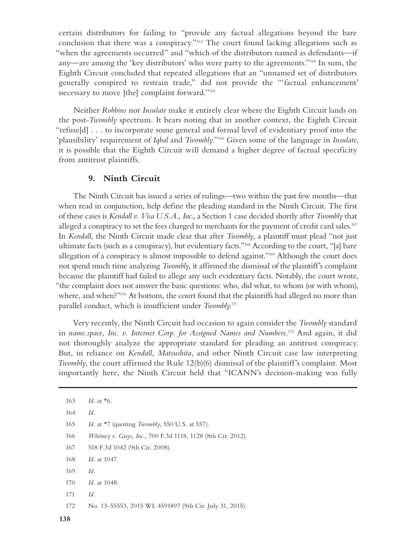certain distributors for failing to "provide any factual allegations beyond the bare conclusion that there was a conspiracy."163 The court found lacking allegations such as "when the agreements occurred" and "which of the distributors named as defendants—if any—are among the 'key distributors' who were party to the agreements."164 In sum, the Eighth Circuit concluded that repeated allegations that an "unnamed set of distributors generally conspired to restrain trade," did not provide the "'factual enhancement' necessary to move [the] complaint forward."165

Neither *Robbins* nor *Insulate* make it entirely clear where the Eighth Circuit lands on the post-*Twombly* spectrum. It bears noting that in another context, the Eighth Circuit "refuse[d] . . . to incorporate some general and formal level of evidentiary proof into the 'plausibility' requirement of *Iqbal* and *Twombly*."166 Given some of the language in *Insulate*, it is possible that the Eighth Circuit will demand a higher degree of factual specificity from antitrust plaintiffs.

### **9. Ninth Circuit**

The Ninth Circuit has issued a series of rulings—two within the past few months—that when read in conjunction, help define the pleading standard in the Ninth Circuit. The first of these cases is *Kendall v. Visa U.S.A., Inc.*, a Section 1 case decided shortly after *Twombly* that alleged a conspiracy to set the fees charged to merchants for the payment of credit card sales.<sup>167</sup> In *Kendall*, the Ninth Circuit made clear that after *Twombly*, a plaintiff must plead "not just ultimate facts (such as a conspiracy), but evidentiary facts."168 According to the court, "[a] bare allegation of a conspiracy is almost impossible to defend against."169 Although the court does not spend much time analyzing *Twombly*, it affirmed the dismissal of the plaintiff's complaint because the plaintiff had failed to allege any such evidentiary facts. Notably, the court wrote, "the complaint does not answer the basic questions: who, did what, to whom (or with whom), where, and when?"<sup>170</sup> At bottom, the court found that the plaintiffs had alleged no more than parallel conduct, which is insufficient under *Twombly*. 171

Very recently, the Ninth Circuit had occasion to again consider the *Twombly* standard in *name.space, Inc. v. Internet Corp. for Assigned Names and Numbers.*172 And again, it did not thoroughly analyze the appropriate standard for pleading an antitrust conspiracy. But, in reliance on *Kendall, Matsushita*, and other Ninth Circuit case law interpreting *Twombly*, the court affirmed the Rule 12(b)(6) dismissal of the plaintiff's complaint. Most importantly here, the Ninth Circuit held that "ICANN's decision-making was fully

<sup>163</sup> *Id.* at \*6. 164 *Id.* 165 *Id.* at \*7 (quoting *Twombly*, 550 U.S. at 557). 166 *Whitney v. Guys, Inc.*, 700 F.3d 1118, 1128 (8th Cir. 2012). 167 518 F.3d 1042 (9th Cir. 2008). 168 *Id.* at 1047. 169 *Id.* 170 *Id.* at 1048. 171 *Id.* 172 No. 13-55553, 2015 WL 4591897 (9th Cir. July 31, 2015).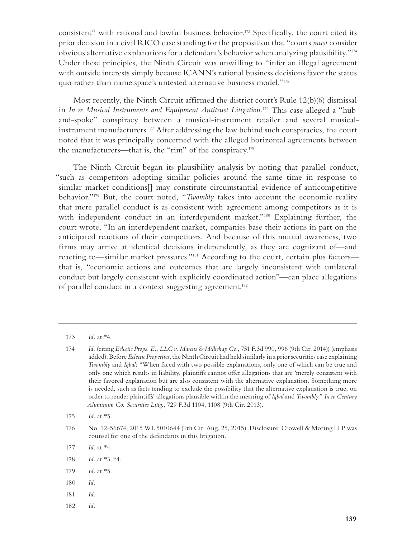consistent" with rational and lawful business behavior.<sup>173</sup> Specifically, the court cited its prior decision in a civil RICO case standing for the proposition that "courts *must* consider obvious alternative explanations for a defendant's behavior when analyzing plausibility."174 Under these principles, the Ninth Circuit was unwilling to "infer an illegal agreement with outside interests simply because ICANN's rational business decisions favor the status quo rather than name.space's untested alternative business model."175

Most recently, the Ninth Circuit affirmed the district court's Rule 12(b)(6) dismissal in *In re Musical Instruments and Equipment Antitrust Litigation.*176 This case alleged a "huband-spoke" conspiracy between a musical-instrument retailer and several musicalinstrument manufacturers.177 After addressing the law behind such conspiracies, the court noted that it was principally concerned with the alleged horizontal agreements between the manufacturers—that is, the "rim" of the conspiracy.<sup>178</sup>

The Ninth Circuit began its plausibility analysis by noting that parallel conduct, "such as competitors adopting similar policies around the same time in response to similar market conditions[] may constitute circumstantial evidence of anticompetitive behavior."179 But, the court noted, "*Twombly* takes into account the economic reality that mere parallel conduct is as consistent with agreement among competitors as it is with independent conduct in an interdependent market."<sup>180</sup> Explaining further, the court wrote, "In an interdependent market, companies base their actions in part on the anticipated reactions of their competitors. And because of this mutual awareness, two firms may arrive at identical decisions independently, as they are cognizant of—and reacting to—similar market pressures."181 According to the court, certain plus factors that is, "economic actions and outcomes that are largely inconsistent with unilateral conduct but largely consistent with explicitly coordinated action"—can place allegations of parallel conduct in a context suggesting agreement.<sup>182</sup>

- 179 *Id.* at \*5.
- 180 *Id.*
- 181 *Id.*
- 182 *Id.*

<sup>173</sup> *Id.* at \*4.

<sup>174</sup> *Id.* (citing *Eclectic Props. E., LLC v. Marcus & Millichap Co*., 751 F.3d 990, 996 (9th Cir. 2014)) (emphasis added). Before *Eclectic Properties*, the Ninth Circuit had held similarly in a prior securities case explaining *Twombly* and *Iqbal*: "When faced with two possible explanations, only one of which can be true and only one which results in liability, plaintiffs cannot offer allegations that are 'merely consistent with their favored explanation but are also consistent with the alternative explanation. Something more is needed, such as facts tending to exclude the possibility that the alternative explanation is true, on order to render plaintiffs' allegations plausible within the meaning of *Iqbal* and *Twombly*." *In re Century Aluminum Co. Securities Litig.*, 729 F.3d 1104, 1108 (9th Cir. 2013).

<sup>175</sup> *Id.* at \*5.

<sup>176</sup> No. 12-56674, 2015 WL 5010644 (9th Cir. Aug. 25, 2015). Disclosure: Crowell & Moring LLP was counsel for one of the defendants in this litigation.

<sup>177</sup> *Id.* at \*4.

<sup>178</sup> *Id.* at \*3-\*4.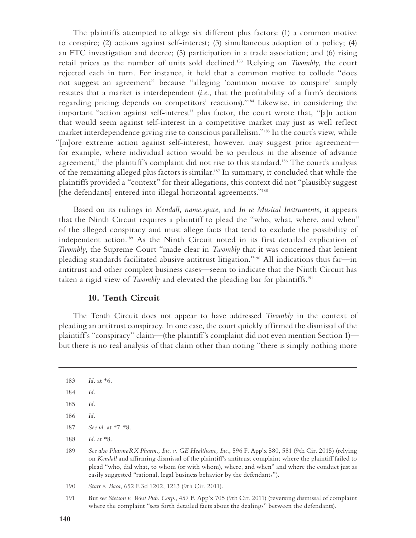The plaintiffs attempted to allege six different plus factors: (1) a common motive to conspire; (2) actions against self-interest; (3) simultaneous adoption of a policy; (4) an FTC investigation and decree; (5) participation in a trade association; and (6) rising retail prices as the number of units sold declined.183 Relying on *Twombly*, the court rejected each in turn. For instance, it held that a common motive to collude "does not suggest an agreement" because "alleging 'common motive to conspire' simply restates that a market is interdependent (*i.e.*, that the profitability of a firm's decisions regarding pricing depends on competitors' reactions)."184 Likewise, in considering the important "action against self-interest" plus factor, the court wrote that, "[a]n action that would seem against self-interest in a competitive market may just as well reflect market interdependence giving rise to conscious parallelism."185 In the court's view, while "[m]ore extreme action against self-interest, however, may suggest prior agreement for example, where individual action would be so perilous in the absence of advance agreement," the plaintiff's complaint did not rise to this standard.<sup>186</sup> The court's analysis of the remaining alleged plus factors is similar.187 In summary, it concluded that while the plaintiffs provided a "context" for their allegations, this context did not "plausibly suggest [the defendants] entered into illegal horizontal agreements."<sup>188</sup>

Based on its rulings in *Kendall*, *name.space*, and *In re Musical Instruments*, it appears that the Ninth Circuit requires a plaintiff to plead the "who, what, where, and when" of the alleged conspiracy and must allege facts that tend to exclude the possibility of independent action.189 As the Ninth Circuit noted in its first detailed explication of *Twombly*, the Supreme Court "made clear in *Twombly* that it was concerned that lenient pleading standards facilitated abusive antitrust litigation."190 All indications thus far—in antitrust and other complex business cases—seem to indicate that the Ninth Circuit has taken a rigid view of *Twombly* and elevated the pleading bar for plaintiffs.<sup>191</sup>

#### **10. Tenth Circuit**

The Tenth Circuit does not appear to have addressed *Twombly* in the context of pleading an antitrust conspiracy. In one case, the court quickly affirmed the dismissal of the plaintiff's "conspiracy" claim—(the plaintiff's complaint did not even mention Section 1) but there is no real analysis of that claim other than noting "there is simply nothing more

<sup>183</sup> *Id.* at \*6.

<sup>184</sup> *Id.*

<sup>185</sup> *Id.*

<sup>186</sup> *Id.*

<sup>187</sup> *See id.* at \*7-\*8.

<sup>188</sup> *Id.* at \*8.

<sup>189</sup> *See also PharmaRX Pharm., Inc. v. GE Healthcare, Inc.*, 596 F. App'x 580, 581 (9th Cir. 2015) (relying on *Kendall* and affirming dismissal of the plaintiff's antitrust complaint where the plaintiff failed to plead "who, did what, to whom (or with whom), where, and when" and where the conduct just as easily suggested "rational, legal business behavior by the defendants").

<sup>190</sup> *Starr v. Baca*, 652 F.3d 1202, 1213 (9th Cir. 2011).

<sup>191</sup> But *see Stetson v. West Pub. Corp.*, 457 F. App'x 705 (9th Cir. 2011) (reversing dismissal of complaint where the complaint "sets forth detailed facts about the dealings" between the defendants).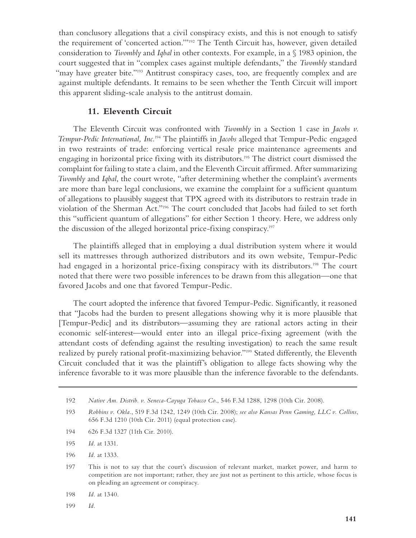than conclusory allegations that a civil conspiracy exists, and this is not enough to satisfy the requirement of 'concerted action.'"192 The Tenth Circuit has, however, given detailed consideration to *Twombly* and *Iqbal* in other contexts. For example, in a § 1983 opinion, the court suggested that in "complex cases against multiple defendants," the *Twombly* standard "may have greater bite."<sup>193</sup> Antitrust conspiracy cases, too, are frequently complex and are against multiple defendants. It remains to be seen whether the Tenth Circuit will import this apparent sliding-scale analysis to the antitrust domain.

### **11. Eleventh Circuit**

The Eleventh Circuit was confronted with *Twombly* in a Section 1 case in *Jacobs v. Tempur-Pedic International, Inc.*194 The plaintiffs in *Jacobs* alleged that Tempur-Pedic engaged in two restraints of trade: enforcing vertical resale price maintenance agreements and engaging in horizontal price fixing with its distributors.<sup>195</sup> The district court dismissed the complaint for failing to state a claim, and the Eleventh Circuit affirmed. After summarizing *Twombly* and *Iqbal*, the court wrote, "after determining whether the complaint's averments are more than bare legal conclusions, we examine the complaint for a sufficient quantum of allegations to plausibly suggest that TPX agreed with its distributors to restrain trade in violation of the Sherman Act."196 The court concluded that Jacobs had failed to set forth this "sufficient quantum of allegations" for either Section 1 theory. Here, we address only the discussion of the alleged horizontal price-fixing conspiracy.<sup>197</sup>

The plaintiffs alleged that in employing a dual distribution system where it would sell its mattresses through authorized distributors and its own website, Tempur-Pedic had engaged in a horizontal price-fixing conspiracy with its distributors.<sup>198</sup> The court noted that there were two possible inferences to be drawn from this allegation—one that favored Jacobs and one that favored Tempur-Pedic.

The court adopted the inference that favored Tempur-Pedic. Significantly, it reasoned that "Jacobs had the burden to present allegations showing why it is more plausible that [Tempur-Pedic] and its distributors—assuming they are rational actors acting in their economic self-interest—would enter into an illegal price-fixing agreement (with the attendant costs of defending against the resulting investigation) to reach the same result realized by purely rational profit-maximizing behavior."199 Stated differently, the Eleventh Circuit concluded that it was the plaintiff's obligation to allege facts showing why the inference favorable to it was more plausible than the inference favorable to the defendants.

194 626 F.3d 1327 (11th Cir. 2010).

- 196 *Id.* at 1333.
- 197 This is not to say that the court's discussion of relevant market, market power, and harm to competition are not important; rather, they are just not as pertinent to this article, whose focus is on pleading an agreement or conspiracy.
- 198 *Id.* at 1340.
- 199 *Id.*

<sup>192</sup> *Native Am. Distrib. v. Seneca-Cayuga Tobacco Co*., 546 F.3d 1288, 1298 (10th Cir. 2008).

<sup>193</sup> *Robbins v. Okla.*, 519 F.3d 1242, 1249 (10th Cir. 2008); *see also Kansas Penn Gaming, LLC v. Collins*, 656 F.3d 1210 (10th Cir. 2011) (equal protection case).

<sup>195</sup> *Id.* at 1331.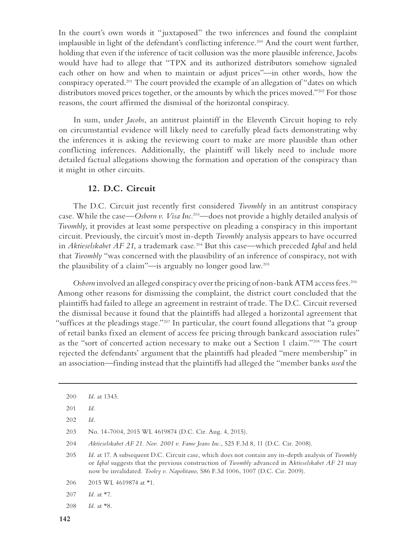In the court's own words it "juxtaposed" the two inferences and found the complaint implausible in light of the defendant's conflicting inference.<sup>200</sup> And the court went further, holding that even if the inference of tacit collusion was the more plausible inference, Jacobs would have had to allege that "TPX and its authorized distributors somehow signaled each other on how and when to maintain or adjust prices"—in other words, how the conspiracy operated.201 The court provided the example of an allegation of "dates on which distributors moved prices together, or the amounts by which the prices moved."<sup>202</sup> For those reasons, the court affirmed the dismissal of the horizontal conspiracy.

In sum, under *Jacobs*, an antitrust plaintiff in the Eleventh Circuit hoping to rely on circumstantial evidence will likely need to carefully plead facts demonstrating why the inferences it is asking the reviewing court to make are more plausible than other conflicting inferences. Additionally, the plaintiff will likely need to include more detailed factual allegations showing the formation and operation of the conspiracy than it might in other circuits.

### **12. D.C. Circuit**

The D.C. Circuit just recently first considered *Twombly* in an antitrust conspiracy case. While the case—*Osborn v. Visa Inc.*203—does not provide a highly detailed analysis of *Twombly*, it provides at least some perspective on pleading a conspiracy in this important circuit. Previously, the circuit's most in-depth *Twombly* analysis appears to have occurred in *Aktieselskabet AF 21*, a trademark case.<sup>204</sup> But this case—which preceded *Iqbal* and held that *Twombly* "was concerned with the plausibility of an inference of conspiracy, not with the plausibility of a claim"—is arguably no longer good law.205

*Osborn* involved an alleged conspiracy over the pricing of non-bank ATM access fees.<sup>206</sup> Among other reasons for dismissing the complaint, the district court concluded that the plaintiffs had failed to allege an agreement in restraint of trade. The D.C. Circuit reversed the dismissal because it found that the plaintiffs had alleged a horizontal agreement that "suffices at the pleadings stage."207 In particular, the court found allegations that "a group of retail banks fixed an element of access fee pricing through bankcard association rules" as the "sort of concerted action necessary to make out a Section 1 claim."208 The court rejected the defendants' argument that the plaintiffs had pleaded "mere membership" in an association—finding instead that the plaintiffs had alleged the "member banks *used* the

204 *Aktieselskabet AF 21. Nov. 2001 v. Fame Jeans Inc.*, 525 F.3d 8, 11 (D.C. Cir. 2008).

205 *Id.* at 17. A subsequent D.C. Circuit case, which does not contain any in-depth analysis of *Twombly* or *Iqbal* suggests that the previous construction of *Twombly* advanced in A*ktieselskabet AF 21* may now be invalidated. *Tooley v. Napolitano*, 586 F.3d 1006, 1007 (D.C. Cir. 2009).

- 206 2015 WL 4619874 at \*1.
- 207 *Id.* at \*7.
- 208 *Id.* at \*8.

<sup>200</sup> *Id.* at 1343.

<sup>201</sup> *Id.*

<sup>202</sup> *Id.*

<sup>203</sup> No. 14-7004, 2015 WL 4619874 (D.C. Cir. Aug. 4, 2015).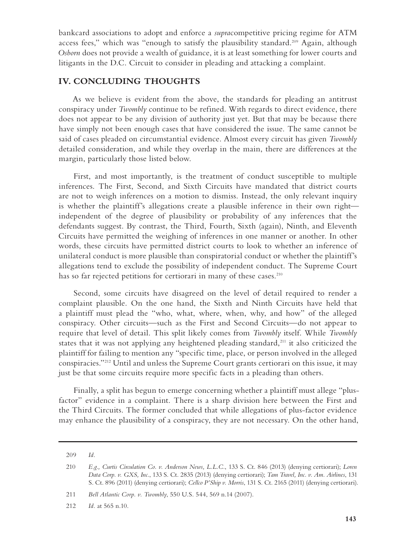bankcard associations to adopt and enforce a *supra*competitive pricing regime for ATM access fees," which was "enough to satisfy the plausibility standard.<sup>209</sup> Again, although *Osborn* does not provide a wealth of guidance, it is at least something for lower courts and litigants in the D.C. Circuit to consider in pleading and attacking a complaint.

#### **IV. CONCLUDING THOUGHTS**

As we believe is evident from the above, the standards for pleading an antitrust conspiracy under *Twombly* continue to be refined. With regards to direct evidence, there does not appear to be any division of authority just yet. But that may be because there have simply not been enough cases that have considered the issue. The same cannot be said of cases pleaded on circumstantial evidence. Almost every circuit has given *Twombly* detailed consideration, and while they overlap in the main, there are differences at the margin, particularly those listed below.

First, and most importantly, is the treatment of conduct susceptible to multiple inferences. The First, Second, and Sixth Circuits have mandated that district courts are not to weigh inferences on a motion to dismiss. Instead, the only relevant inquiry is whether the plaintiff's allegations create a plausible inference in their own right independent of the degree of plausibility or probability of any inferences that the defendants suggest. By contrast, the Third, Fourth, Sixth (again), Ninth, and Eleventh Circuits have permitted the weighing of inferences in one manner or another. In other words, these circuits have permitted district courts to look to whether an inference of unilateral conduct is more plausible than conspiratorial conduct or whether the plaintiff's allegations tend to exclude the possibility of independent conduct. The Supreme Court has so far rejected petitions for certiorari in many of these cases.<sup>210</sup>

Second, some circuits have disagreed on the level of detail required to render a complaint plausible. On the one hand, the Sixth and Ninth Circuits have held that a plaintiff must plead the "who, what, where, when, why, and how" of the alleged conspiracy. Other circuits—such as the First and Second Circuits—do not appear to require that level of detail. This split likely comes from *Twombly* itself. While *Twombly* states that it was not applying any heightened pleading standard,<sup>211</sup> it also criticized the plaintiff for failing to mention any "specific time, place, or person involved in the alleged conspiracies."212 Until and unless the Supreme Court grants certiorari on this issue, it may just be that some circuits require more specific facts in a pleading than others.

Finally, a split has begun to emerge concerning whether a plaintiff must allege "plusfactor" evidence in a complaint. There is a sharp division here between the First and the Third Circuits. The former concluded that while allegations of plus-factor evidence may enhance the plausibility of a conspiracy, they are not necessary. On the other hand,

211 *Bell Atlantic Corp. v. Twombly*, 550 U.S. 544, 569 n.14 (2007).

<sup>209</sup> *Id.* 

<sup>210</sup> *E.g., Curtis Circulation Co. v. Anderson News, L.L.C.*, 133 S. Ct. 846 (2013) (denying certiorari); *Loren Data Corp. v. GXS, Inc.*, 133 S. Ct. 2835 (2013) (denying certiorari); *Tam Travel, Inc. v. Am. Airlines*, 131 S. Ct. 896 (2011) (denying certiorari); *Cellco P'Ship v. Morris*, 131 S. Ct. 2165 (2011) (denying certiorari).

<sup>212</sup> *Id.* at 565 n.10.